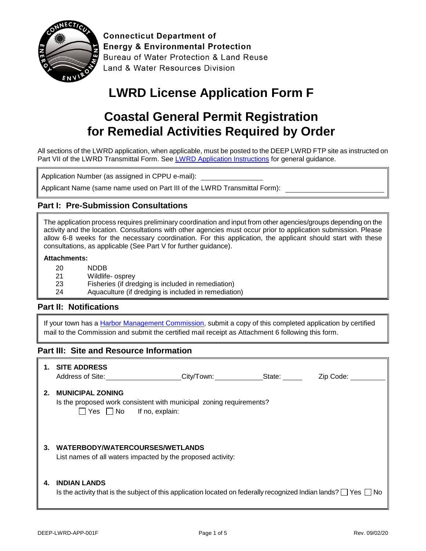

**Connecticut Department of Energy & Environmental Protection** Bureau of Water Protection & Land Reuse Land & Water Resources Division

# **LWRD License Application Form F**

## **Coastal General Permit Registration for Remedial Activities Required by Order**

All sections of the LWRD application, when applicable, must be posted to the DEEP LWRD FTP site as instructed on Part VII of the LWRD Transmittal Form. See [LWRD Application Instructions](https://www.ct.gov/deep/lib/deep/Permits_and_Licenses/Land_Use_Permits/LWRD/lwrd_inst.pdf) for general guidance.

Application Number (as assigned in CPPU e-mail):

Applicant Name (same name used on Part III of the LWRD Transmittal Form):

#### **Part I: Pre-Submission Consultations**

The application process requires preliminary coordination and input from other agencies/groups depending on the activity and the location. Consultations with other agencies must occur prior to application submission. Please allow 6-8 weeks for the necessary coordination. For this application, the applicant should start with these consultations, as applicable (See Part V for further guidance).

#### **Attachments:**

| -20        | <b>NDDB</b>                                        |  |
|------------|----------------------------------------------------|--|
| <b>O</b> 4 | $\text{M}\text{H}\text{-}\text{H}\text{-}\text{A}$ |  |

- 21 Wildlife- osprey
- 23 Fisheries (if dredging is included in remediation)
- 24 Aquaculture (if dredging is included in remediation)

#### **Part II: Notifications**

If your town has a [Harbor Management Commission,](https://www.ct.gov/deep/lib/deep/Permits_and_Licenses/Land_Use_Permits/Long_Island_Sound_Permits/harbor_commission.pdf) submit a copy of this completed application by certified mail to the Commission and submit the certified mail receipt as Attachment 6 following this form.

#### **Part III: Site and Resource Information**

|    | <b>SITE ADDRESS</b><br>Address of Site: Address of Site:<br>City/Town: State:<br>Zip Code:                                                        |
|----|---------------------------------------------------------------------------------------------------------------------------------------------------|
| 2. | <b>MUNICIPAL ZONING</b><br>Is the proposed work consistent with municipal zoning requirements?<br>$\Box$ Yes $\Box$ No If no, explain:            |
| 3. | WATERBODY/WATERCOURSES/WETLANDS<br>List names of all waters impacted by the proposed activity:                                                    |
| 4. | <b>INDIAN LANDS</b><br>Is the activity that is the subject of this application located on federally recognized Indian lands? $\Box$ Yes $\Box$ No |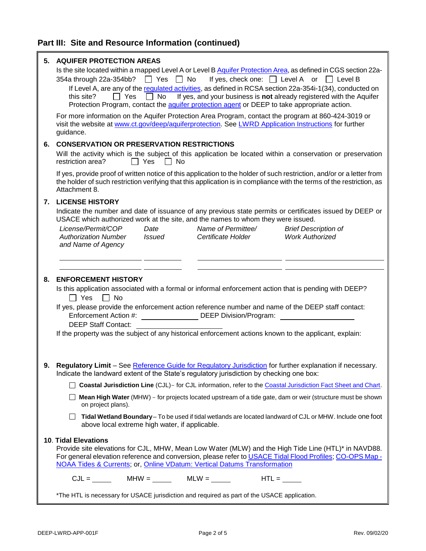| 5. | <b>AQUIFER PROTECTION AREAS</b><br>Is the site located within a mapped Level A or Level B Aquifer Protection Area, as defined in CGS section 22a-<br>$\Box$ Yes $\Box$ No<br>If yes, check one: $\Box$ Level A or $\Box$ Level B<br>354a through 22a-354bb?<br>If Level A, are any of the regulated activities, as defined in RCSA section 22a-354i-1(34), conducted on<br><b>No</b><br>If yes, and your business is not already registered with the Aquifer<br>this site?<br>Yes<br>$\mathbf{1}$<br>Protection Program, contact the aquifer protection agent or DEEP to take appropriate action. |  |  |
|----|---------------------------------------------------------------------------------------------------------------------------------------------------------------------------------------------------------------------------------------------------------------------------------------------------------------------------------------------------------------------------------------------------------------------------------------------------------------------------------------------------------------------------------------------------------------------------------------------------|--|--|
|    | For more information on the Aquifer Protection Area Program, contact the program at 860-424-3019 or<br>visit the website at www.ct.gov/deep/aquiferprotection. See LWRD Application Instructions for further<br>guidance.                                                                                                                                                                                                                                                                                                                                                                         |  |  |
| 6. | <b>CONSERVATION OR PRESERVATION RESTRICTIONS</b><br>Will the activity which is the subject of this application be located within a conservation or preservation<br>restriction area?<br>Yes<br>∣ No                                                                                                                                                                                                                                                                                                                                                                                               |  |  |
|    | If yes, provide proof of written notice of this application to the holder of such restriction, and/or or a letter from<br>the holder of such restriction verifying that this application is in compliance with the terms of the restriction, as<br>Attachment 8.                                                                                                                                                                                                                                                                                                                                  |  |  |
|    | 7. LICENSE HISTORY                                                                                                                                                                                                                                                                                                                                                                                                                                                                                                                                                                                |  |  |
|    | Indicate the number and date of issuance of any previous state permits or certificates issued by DEEP or<br>USACE which authorized work at the site, and the names to whom they were issued.                                                                                                                                                                                                                                                                                                                                                                                                      |  |  |
|    | License/Permit/COP<br>Name of Permittee/<br>Date<br><b>Brief Description of</b><br><b>Work Authorized</b><br><b>Authorization Number</b><br><b>Issued</b><br>Certificate Holder<br>and Name of Agency                                                                                                                                                                                                                                                                                                                                                                                             |  |  |
|    |                                                                                                                                                                                                                                                                                                                                                                                                                                                                                                                                                                                                   |  |  |
|    |                                                                                                                                                                                                                                                                                                                                                                                                                                                                                                                                                                                                   |  |  |
| 8. | <b>ENFORCEMENT HISTORY</b>                                                                                                                                                                                                                                                                                                                                                                                                                                                                                                                                                                        |  |  |
|    | Is this application associated with a formal or informal enforcement action that is pending with DEEP?<br>$\Box$ Yes<br>$\Box$ No                                                                                                                                                                                                                                                                                                                                                                                                                                                                 |  |  |
|    | If yes, please provide the enforcement action reference number and name of the DEEP staff contact:<br>Enforcement Action #:<br>DEEP Division/Program:                                                                                                                                                                                                                                                                                                                                                                                                                                             |  |  |
|    | <b>DEEP Staff Contact:</b>                                                                                                                                                                                                                                                                                                                                                                                                                                                                                                                                                                        |  |  |
|    | If the property was the subject of any historical enforcement actions known to the applicant, explain:                                                                                                                                                                                                                                                                                                                                                                                                                                                                                            |  |  |
|    |                                                                                                                                                                                                                                                                                                                                                                                                                                                                                                                                                                                                   |  |  |
|    | Regulatory Limit - See Reference Guide for Regulatory Jurisdiction for further explanation if necessary.<br>Indicate the landward extent of the State's regulatory jurisdiction by checking one box:                                                                                                                                                                                                                                                                                                                                                                                              |  |  |
|    | Coastal Jurisdiction Line (CJL)- for CJL information, refer to the Coastal Jurisdiction Fact Sheet and Chart.<br>$\perp$                                                                                                                                                                                                                                                                                                                                                                                                                                                                          |  |  |
|    | Mean High Water (MHW) - for projects located upstream of a tide gate, dam or weir (structure must be shown<br>on project plans).                                                                                                                                                                                                                                                                                                                                                                                                                                                                  |  |  |
|    | Tidal Wetland Boundary-To be used if tidal wetlands are located landward of CJL or MHW. Include one foot<br>above local extreme high water, if applicable.                                                                                                                                                                                                                                                                                                                                                                                                                                        |  |  |
|    |                                                                                                                                                                                                                                                                                                                                                                                                                                                                                                                                                                                                   |  |  |
|    | <b>10. Tidal Elevations</b><br>Provide site elevations for CJL, MHW, Mean Low Water (MLW) and the High Tide Line (HTL)* in NAVD88.<br>For general elevation reference and conversion, please refer to USACE Tidal Flood Profiles; CO-OPS Map -<br>NOAA Tides & Currents; or, Online VDatum: Vertical Datums Transformation                                                                                                                                                                                                                                                                        |  |  |
|    | $CJL = \_\_\_\_\_\_\$ MHW = $\_\_\_\_\_\_\_\$ MLW = $\_\_\_\_\_\_\_\_\_\_\$ HTL = $\_\_\_\_\_\_\_\$                                                                                                                                                                                                                                                                                                                                                                                                                                                                                               |  |  |
|    | *The HTL is necessary for USACE jurisdiction and required as part of the USACE application.                                                                                                                                                                                                                                                                                                                                                                                                                                                                                                       |  |  |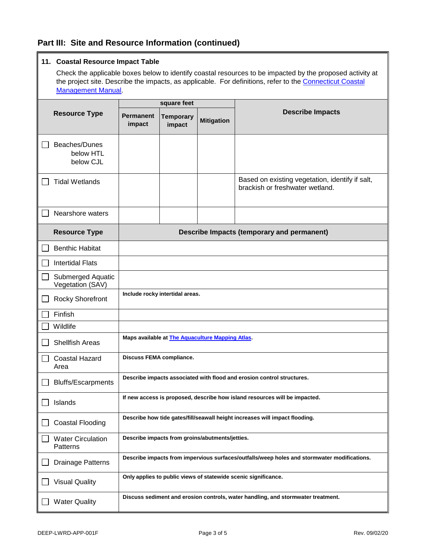### **Part III: Site and Resource Information (continued)**

#### **11. Coastal Resource Impact Table**

Check the applicable boxes below to identify coastal resources to be impacted by the proposed activity at the project site. Describe the impacts, as applicable. For definitions, refer to the [Connecticut Coastal](https://www.ct.gov/deep/lib/deep/long_island_sound/coastal_management_manual/manual_08.pdf) [Management Manual.](https://www.ct.gov/deep/lib/deep/long_island_sound/coastal_management_manual/manual_08.pdf)

|                                         | square feet                                                                                 |                            |                   |                                                                                    |
|-----------------------------------------|---------------------------------------------------------------------------------------------|----------------------------|-------------------|------------------------------------------------------------------------------------|
| <b>Resource Type</b>                    | <b>Permanent</b><br>impact                                                                  | <b>Temporary</b><br>impact | <b>Mitigation</b> | <b>Describe Impacts</b>                                                            |
| Beaches/Dunes<br>below HTL<br>below CJL |                                                                                             |                            |                   |                                                                                    |
| <b>Tidal Wetlands</b>                   |                                                                                             |                            |                   | Based on existing vegetation, identify if salt,<br>brackish or freshwater wetland. |
| Nearshore waters                        |                                                                                             |                            |                   |                                                                                    |
| <b>Resource Type</b>                    |                                                                                             |                            |                   | Describe Impacts (temporary and permanent)                                         |
| <b>Benthic Habitat</b>                  |                                                                                             |                            |                   |                                                                                    |
| <b>Intertidal Flats</b>                 |                                                                                             |                            |                   |                                                                                    |
| Submerged Aquatic<br>Vegetation (SAV)   |                                                                                             |                            |                   |                                                                                    |
| <b>Rocky Shorefront</b>                 | Include rocky intertidal areas.                                                             |                            |                   |                                                                                    |
| Finfish                                 |                                                                                             |                            |                   |                                                                                    |
| Wildlife                                |                                                                                             |                            |                   |                                                                                    |
| <b>Shellfish Areas</b>                  | Maps available at <b>The Aquaculture Mapping Atlas</b> .                                    |                            |                   |                                                                                    |
| <b>Coastal Hazard</b><br>Area           | <b>Discuss FEMA compliance.</b>                                                             |                            |                   |                                                                                    |
| <b>Bluffs/Escarpments</b>               | Describe impacts associated with flood and erosion control structures.                      |                            |                   |                                                                                    |
| Islands                                 | If new access is proposed, describe how island resources will be impacted.                  |                            |                   |                                                                                    |
| <b>Coastal Flooding</b>                 | Describe how tide gates/fill/seawall height increases will impact flooding.                 |                            |                   |                                                                                    |
| <b>Water Circulation</b><br>Patterns    | Describe impacts from groins/abutments/jetties.                                             |                            |                   |                                                                                    |
| <b>Drainage Patterns</b>                | Describe impacts from impervious surfaces/outfalls/weep holes and stormwater modifications. |                            |                   |                                                                                    |
| <b>Visual Quality</b>                   | Only applies to public views of statewide scenic significance.                              |                            |                   |                                                                                    |
| <b>Water Quality</b>                    | Discuss sediment and erosion controls, water handling, and stormwater treatment.            |                            |                   |                                                                                    |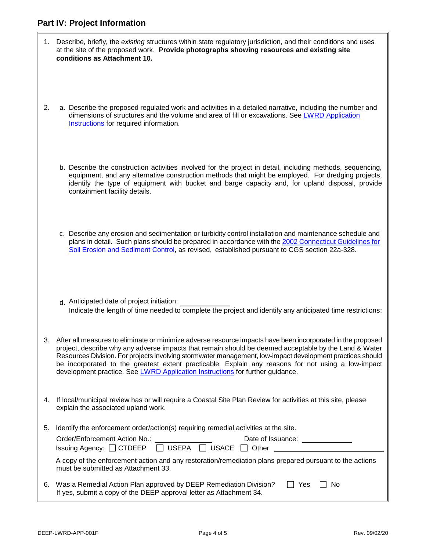|    | 1. Describe, briefly, the existing structures within state regulatory jurisdiction, and their conditions and uses<br>at the site of the proposed work. Provide photographs showing resources and existing site<br>conditions as Attachment 10.                                                                                                                                                                                                                                                                              |
|----|-----------------------------------------------------------------------------------------------------------------------------------------------------------------------------------------------------------------------------------------------------------------------------------------------------------------------------------------------------------------------------------------------------------------------------------------------------------------------------------------------------------------------------|
| 2. | a. Describe the proposed regulated work and activities in a detailed narrative, including the number and<br>dimensions of structures and the volume and area of fill or excavations. See LWRD Application<br>Instructions for required information.                                                                                                                                                                                                                                                                         |
|    | b. Describe the construction activities involved for the project in detail, including methods, sequencing,<br>equipment, and any alternative construction methods that might be employed. For dredging projects,<br>identify the type of equipment with bucket and barge capacity and, for upland disposal, provide<br>containment facility details.                                                                                                                                                                        |
|    | c. Describe any erosion and sedimentation or turbidity control installation and maintenance schedule and<br>plans in detail. Such plans should be prepared in accordance with the 2002 Connecticut Guidelines for<br>Soil Erosion and Sediment Control, as revised, established pursuant to CGS section 22a-328.                                                                                                                                                                                                            |
|    | d. Anticipated date of project initiation:<br>Indicate the length of time needed to complete the project and identify any anticipated time restrictions:                                                                                                                                                                                                                                                                                                                                                                    |
|    | 3. After all measures to eliminate or minimize adverse resource impacts have been incorporated in the proposed<br>project, describe why any adverse impacts that remain should be deemed acceptable by the Land & Water<br>Resources Division. For projects involving stormwater management, low-impact development practices should<br>be incorporated to the greatest extent practicable. Explain any reasons for not using a low-impact<br>development practice. See LWRD Application Instructions for further guidance. |
| 4. | If local/municipal review has or will require a Coastal Site Plan Review for activities at this site, please<br>explain the associated upland work.                                                                                                                                                                                                                                                                                                                                                                         |
| 5. | Identify the enforcement order/action(s) requiring remedial activities at the site.<br>Order/Enforcement Action No.:<br>Date of Issuance: Date of Issuance:<br>$\Box$ USEPA $\Box$ USACE $\Box$ Other<br>Issuing Agency: □ CTDEEP<br>A copy of the enforcement action and any restoration/remediation plans prepared pursuant to the actions<br>must be submitted as Attachment 33.                                                                                                                                         |
|    | 6. Was a Remedial Action Plan approved by DEEP Remediation Division?<br>Yes<br><b>No</b><br>If yes, submit a copy of the DEEP approval letter as Attachment 34.                                                                                                                                                                                                                                                                                                                                                             |